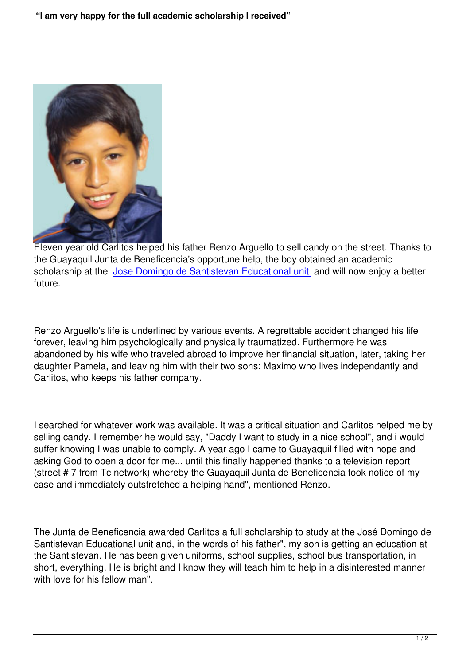

Eleven year old Carlitos helped his father Renzo Arguello to sell candy on the street. Thanks to the Guayaquil Junta de Beneficencia's opportune help, the boy obtained an academic scholarship at the Jose Domingo de Santistevan Educational unit and will now enjoy a better future.

Renzo Arguello's life is underlined by various events. A regrettable accident changed his life forever, leaving him psychologically and physically traumatized. Furthermore he was abandoned by his wife who traveled abroad to improve her financial situation, later, taking her daughter Pamela, and leaving him with their two sons: Maximo who lives independantly and Carlitos, who keeps his father company.

I searched for whatever work was available. It was a critical situation and Carlitos helped me by selling candy. I remember he would say, "Daddy I want to study in a nice school", and i would suffer knowing I was unable to comply. A year ago I came to Guayaquil filled with hope and asking God to open a door for me... until this finally happened thanks to a television report (street # 7 from Tc network) whereby the Guayaquil Junta de Beneficencia took notice of my case and immediately outstretched a helping hand", mentioned Renzo.

The Junta de Beneficencia awarded Carlitos a full scholarship to study at the José Domingo de Santistevan Educational unit and, in the words of his father", my son is getting an education at the Santistevan. He has been given uniforms, school supplies, school bus transportation, in short, everything. He is bright and I know they will teach him to help in a disinterested manner with love for his fellow man".